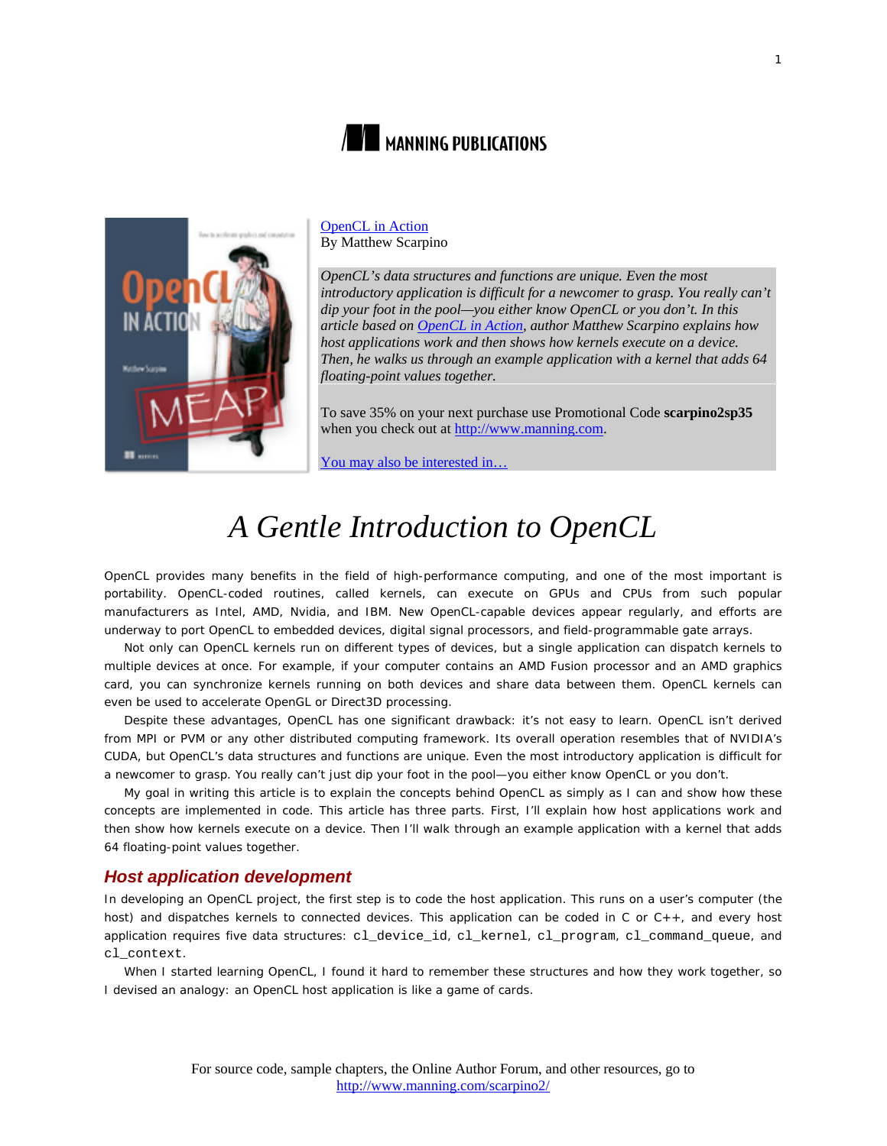



[OpenCL in Action](http://www.manning.com/scarpino2/) By Matthew Scarpino

*OpenCL's data structures and functions are unique. Even the most introductory application is difficult for a newcomer to grasp. You really can't dip your foot in the pool—you either know OpenCL or you don't. In this article based on [OpenCL in Action,](http://www.manning.com/scarpino2/) author Matthew Scarpino explains how host applications work and then shows how kernels execute on a device. Then, he walks us through an example application with a kernel that adds 64 floating-point values together.*

To save 35% on your next purchase use Promotional Code **scarpino2sp35** when you check out at [http://www.manning.com.](http://www.manning.com/)

[You may also be interested in…](#page-8-0)

# *A Gentle Introduction to OpenCL*

OpenCL provides many benefits in the field of high-performance computing, and one of the most important is portability. OpenCL-coded routines, called kernels, can execute on GPUs and CPUs from such popular manufacturers as Intel, AMD, Nvidia, and IBM. New OpenCL-capable devices appear regularly, and efforts are underway to port OpenCL to embedded devices, digital signal processors, and field-programmable gate arrays.

Not only can OpenCL kernels run on different types of devices, but a single application can dispatch kernels to multiple devices at once. For example, if your computer contains an AMD Fusion processor and an AMD graphics card, you can synchronize kernels running on both devices and share data between them. OpenCL kernels can even be used to accelerate OpenGL or Direct3D processing.

Despite these advantages, OpenCL has one significant drawback: it's not easy to learn. OpenCL isn't derived from MPI or PVM or any other distributed computing framework. Its overall operation resembles that of NVIDIA's CUDA, but OpenCL's data structures and functions are unique. Even the most introductory application is difficult for a newcomer to grasp. You really can't just dip your foot in the pool—you either know OpenCL or you don't.

My goal in writing this article is to explain the concepts behind OpenCL as simply as I can and show how these concepts are implemented in code. This article has three parts. First, I'll explain how host applications work and then show how kernels execute on a device. Then I'll walk through an example application with a kernel that adds 64 floating-point values together.

## *Host application development*

In developing an OpenCL project, the first step is to code the host application. This runs on a user's computer (the host) and dispatches kernels to connected devices. This application can be coded in C or C++, and every host application requires five data structures: cl\_device\_id, cl\_kernel, cl\_program, cl\_command\_queue, and cl\_context.

When I started learning OpenCL, I found it hard to remember these structures and how they work together, so I devised an analogy: an OpenCL host application is like a game of cards.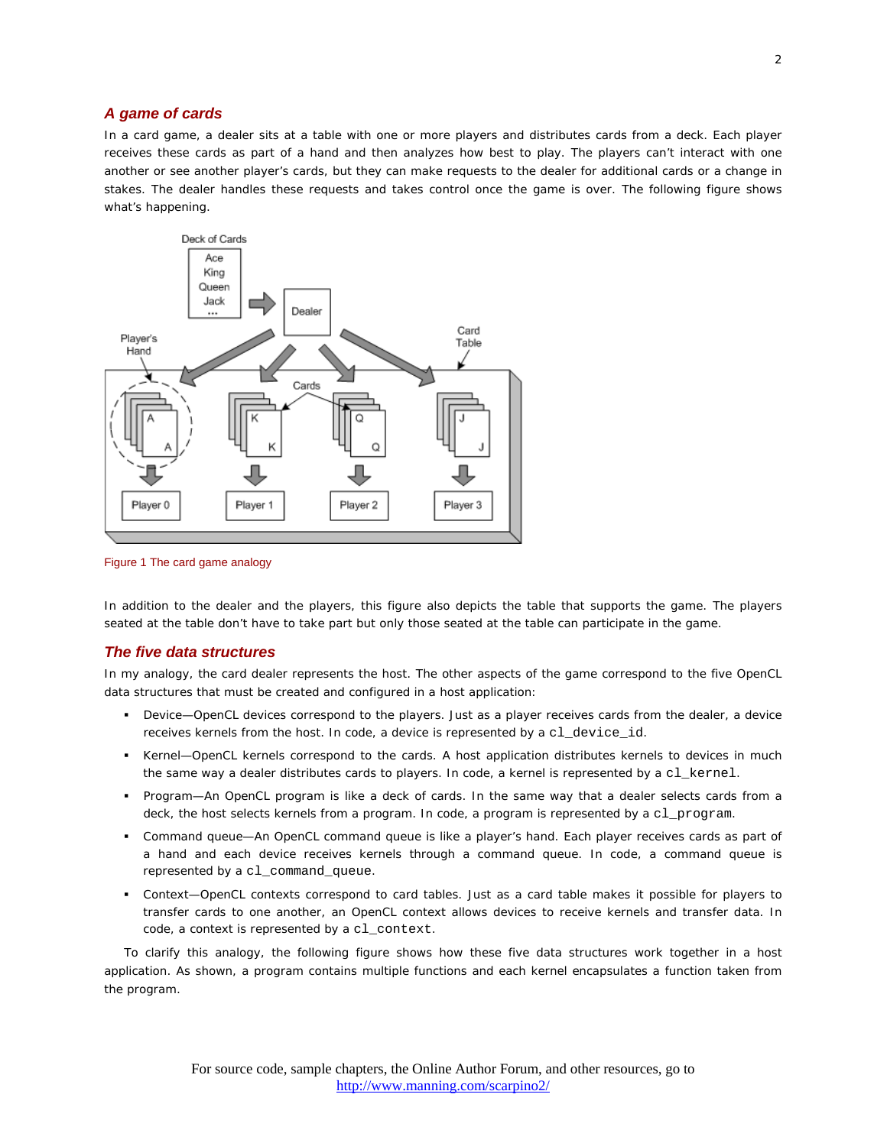#### *A game of cards*

In a card game, a dealer sits at a table with one or more players and distributes cards from a deck. Each player receives these cards as part of a hand and then analyzes how best to play. The players can't interact with one another or see another player's cards, but they can make requests to the dealer for additional cards or a change in stakes. The dealer handles these requests and takes control once the game is over. The following figure shows what's happening.



Figure 1 The card game analogy

In addition to the dealer and the players, this figure also depicts the table that supports the game. The players seated at the table don't have to take part but only those seated at the table can participate in the game.

#### *The five data structures*

In my analogy, the card dealer represents the host. The other aspects of the game correspond to the five OpenCL data structures that must be created and configured in a host application:

- *Device*—OpenCL devices correspond to the players. Just as a player receives cards from the dealer, a device receives kernels from the host. In code, a device is represented by a cl\_device\_id.
- *Kernel*—OpenCL kernels correspond to the cards. A host application distributes kernels to devices in much the same way a dealer distributes cards to players. In code, a kernel is represented by a cl\_kernel.
- *Program*—An OpenCL program is like a deck of cards. In the same way that a dealer selects cards from a deck, the host selects kernels from a program. In code, a program is represented by a cl\_program.
- *Command queue*—An OpenCL command queue is like a player's hand. Each player receives cards as part of a hand and each device receives kernels through a command queue. In code, a command queue is represented by a cl\_command\_queue.
- *Context*—OpenCL contexts correspond to card tables. Just as a card table makes it possible for players to transfer cards to one another, an OpenCL context allows devices to receive kernels and transfer data. In code, a context is represented by a cl\_context.

To clarify this analogy, the following figure shows how these five data structures work together in a host application. As shown, a program contains multiple functions and each kernel encapsulates a function taken from the program.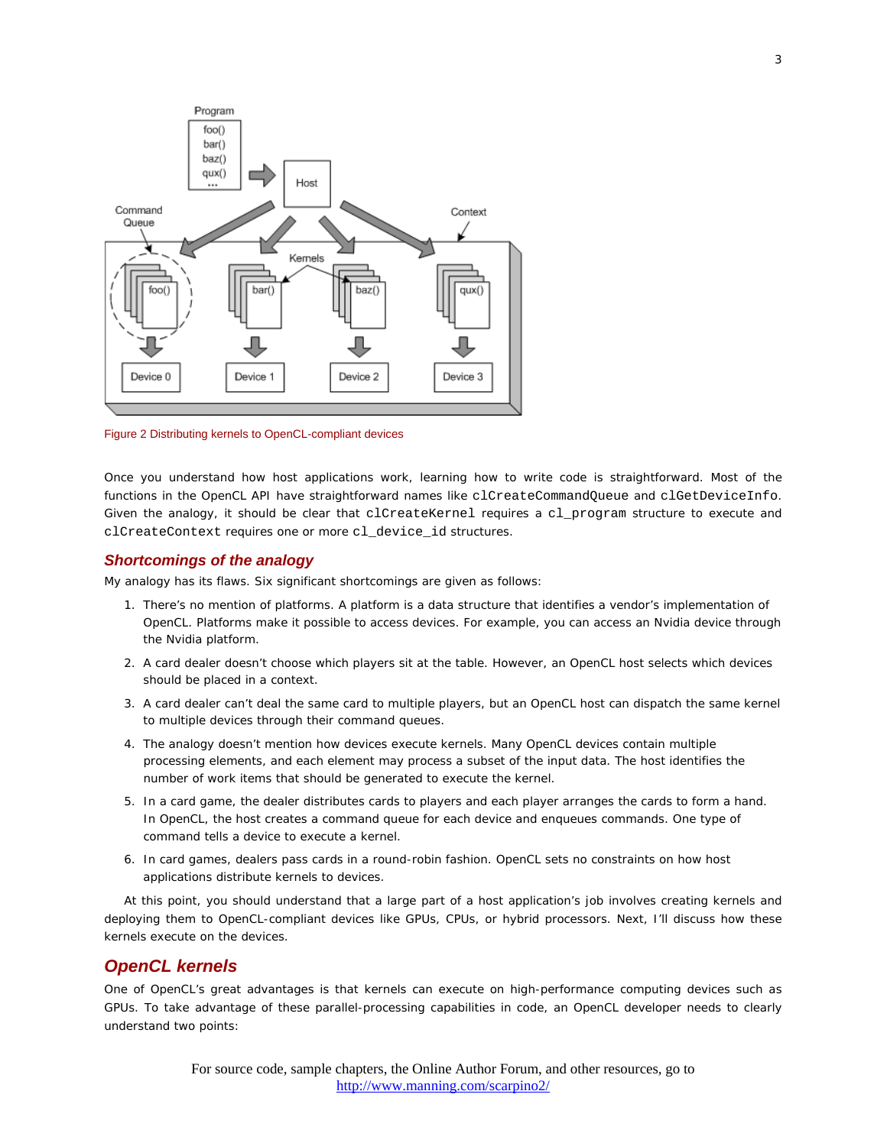

Figure 2 Distributing kernels to OpenCL-compliant devices

Once you understand how host applications work, learning how to write code is straightforward. Most of the functions in the OpenCL API have straightforward names like clCreateCommandQueue and clGetDeviceInfo. Given the analogy, it should be clear that clCreateKernel requires a cl\_program structure to execute and clCreateContext requires one or more cl\_device\_id structures.

#### *Shortcomings of the analogy*

My analogy has its flaws. Six significant shortcomings are given as follows:

- 1. There's no mention of platforms. A platform is a data structure that identifies a vendor's implementation of OpenCL. Platforms make it possible to access devices. For example, you can access an Nvidia device through the Nvidia platform.
- 2. A card dealer doesn't choose which players sit at the table. However, an OpenCL host selects which devices should be placed in a context.
- 3. A card dealer can't deal the same card to multiple players, but an OpenCL host can dispatch the same kernel to multiple devices through their command queues.
- 4. The analogy doesn't mention how devices execute kernels. Many OpenCL devices contain multiple processing elements, and each element may process a subset of the input data. The host identifies the number of work items that should be generated to execute the kernel.
- 5. In a card game, the dealer distributes cards to players and each player arranges the cards to form a hand. In OpenCL, the host creates a command queue for each device and enqueues commands. One type of command tells a device to execute a kernel.
- 6. In card games, dealers pass cards in a round-robin fashion. OpenCL sets no constraints on how host applications distribute kernels to devices.

At this point, you should understand that a large part of a host application's job involves creating kernels and deploying them to OpenCL-compliant devices like GPUs, CPUs, or hybrid processors. Next, I'll discuss how these kernels execute on the devices.

# *OpenCL kernels*

One of OpenCL's great advantages is that kernels can execute on high-performance computing devices such as GPUs. To take advantage of these parallel-processing capabilities in code, an OpenCL developer needs to clearly understand two points: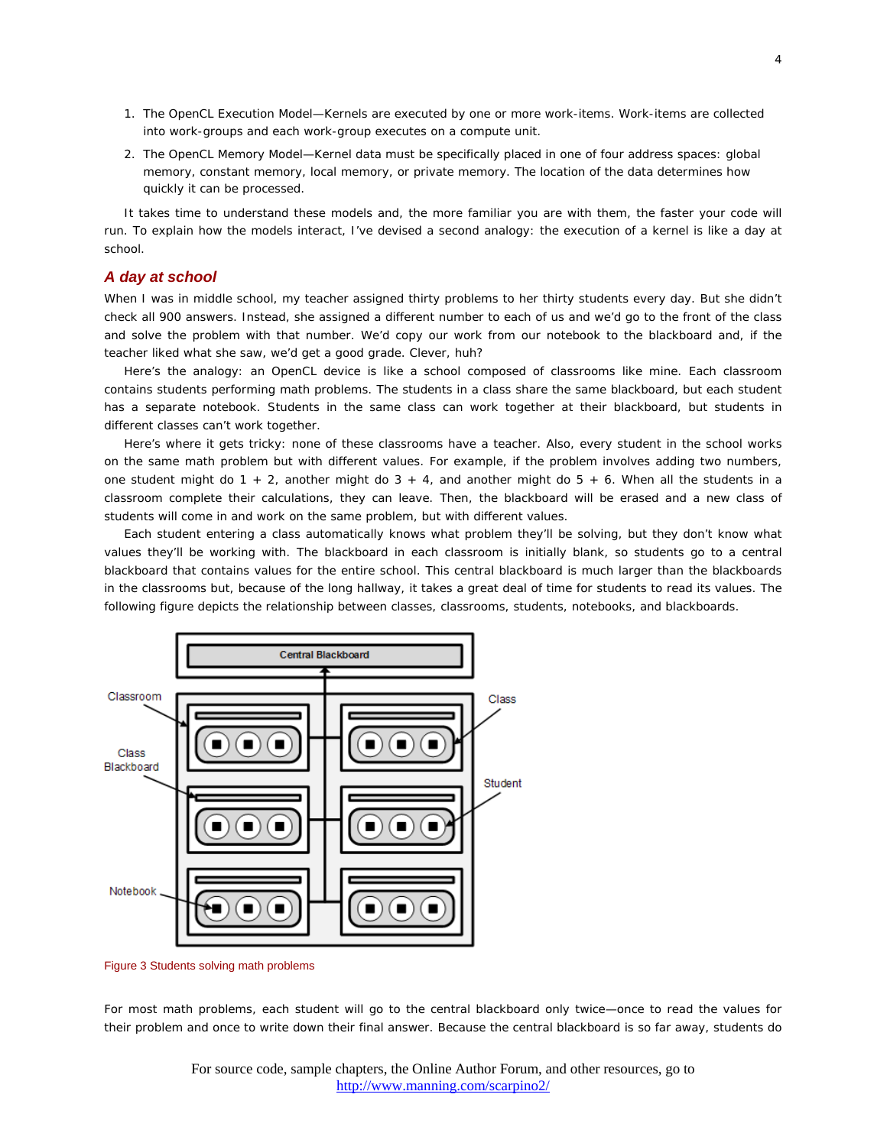- 1. *The OpenCL Execution Model*—Kernels are executed by one or more work-items. Work-items are collected into work-groups and each work-group executes on a compute unit.
- 2. *The OpenCL Memory Model*—Kernel data must be specifically placed in one of four address spaces: global memory, constant memory, local memory, or private memory. The location of the data determines how quickly it can be processed.

It takes time to understand these models and, the more familiar you are with them, the faster your code will run. To explain how the models interact, I've devised a second analogy: the execution of a kernel is like a day at school.

#### *A day at school*

When I was in middle school, my teacher assigned thirty problems to her thirty students every day. But she didn't check all 900 answers. Instead, she assigned a different number to each of us and we'd go to the front of the class and solve the problem with that number. We'd copy our work from our notebook to the blackboard and, if the teacher liked what she saw, we'd get a good grade. Clever, huh?

Here's the analogy: an OpenCL device is like a school composed of classrooms like mine. Each classroom contains students performing math problems. The students in a class share the same blackboard, but each student has a separate notebook. Students in the same class can work together at their blackboard, but students in different classes can't work together.

Here's where it gets tricky: none of these classrooms have a teacher. Also, every student in the school works on the same math problem but with different values. For example, if the problem involves adding two numbers, one student might do  $1 + 2$ , another might do  $3 + 4$ , and another might do  $5 + 6$ . When all the students in a classroom complete their calculations, they can leave. Then, the blackboard will be erased and a new class of students will come in and work on the same problem, but with different values.

Each student entering a class automatically knows what problem they'll be solving, but they don't know what values they'll be working with. The blackboard in each classroom is initially blank, so students go to a central blackboard that contains values for the entire school. This central blackboard is much larger than the blackboards in the classrooms but, because of the long hallway, it takes a great deal of time for students to read its values. The following figure depicts the relationship between classes, classrooms, students, notebooks, and blackboards.



Figure 3 Students solving math problems

For most math problems, each student will go to the central blackboard only twice—once to read the values for their problem and once to write down their final answer. Because the central blackboard is so far away, students do

For source code, sample chapters, the Online Author Forum, and other resources, go to <http://www.manning.com/scarpino2/>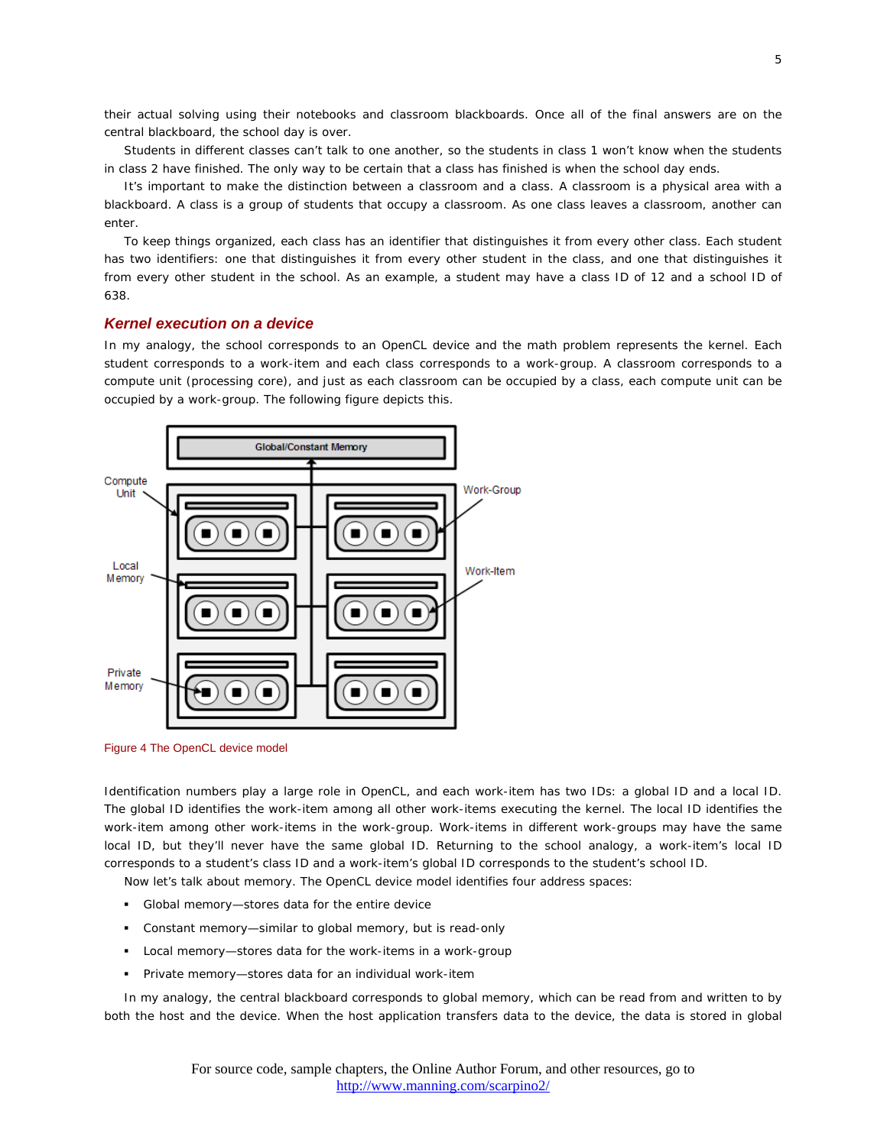their actual solving using their notebooks and classroom blackboards. Once all of the final answers are on the central blackboard, the school day is over.

Students in different classes can't talk to one another, so the students in class 1 won't know when the students in class 2 have finished. The only way to be certain that a class has finished is when the school day ends.

It's important to make the distinction between a classroom and a class. A classroom is a physical area with a blackboard. A class is a group of students that occupy a classroom. As one class leaves a classroom, another can enter.

To keep things organized, each class has an identifier that distinguishes it from every other class. Each student has two identifiers: one that distinguishes it from every other student in the class, and one that distinguishes it from every other student in the school. As an example, a student may have a class ID of 12 and a school ID of 638.

#### *Kernel execution on a device*

In my analogy, the school corresponds to an OpenCL device and the math problem represents the kernel. Each student corresponds to a work-item and each class corresponds to a work-group. A classroom corresponds to a compute unit (processing core), and just as each classroom can be occupied by a class, each compute unit can be occupied by a work-group. The following figure depicts this.



Figure 4 The OpenCL device model

Identification numbers play a large role in OpenCL, and each work-item has two IDs: a global ID and a local ID. The global ID identifies the work-item among all other work-items executing the kernel. The local ID identifies the work-item among other work-items in the work-group. Work-items in different work-groups may have the same local ID, but they'll never have the same global ID. Returning to the school analogy, a work-item's local ID corresponds to a student's class ID and a work-item's global ID corresponds to the student's school ID.

Now let's talk about memory. The OpenCL device model identifies four address spaces:

- *Global memory*—stores data for the entire device
- *Constant memory*—similar to global memory, but is read-only
- *Local memory*—stores data for the work-items in a work-group
- *Private memory*—stores data for an individual work-item

In my analogy, the central blackboard corresponds to global memory, which can be read from and written to by both the host and the device. When the host application transfers data to the device, the data is stored in global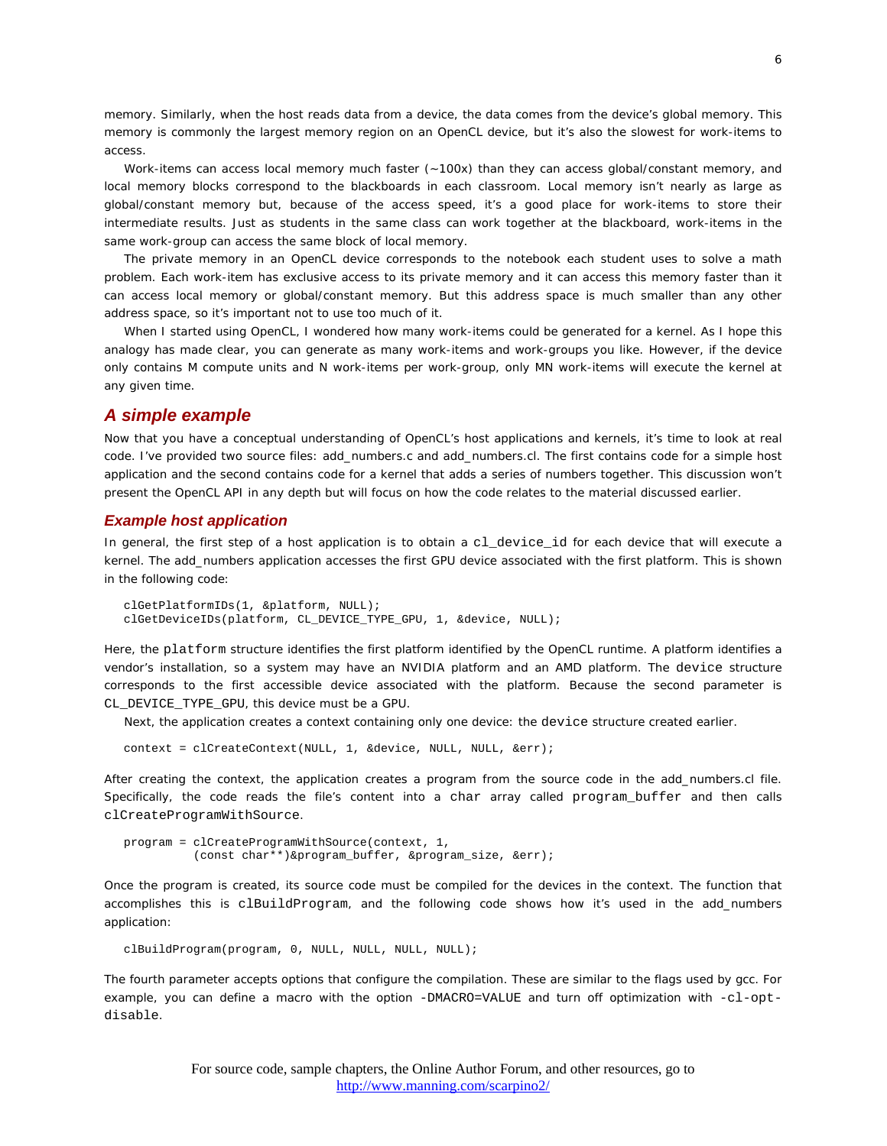memory. Similarly, when the host reads data from a device, the data comes from the device's global memory. This memory is commonly the largest memory region on an OpenCL device, but it's also the slowest for work-items to access.

Work-items can access local memory much faster (~100x) than they can access global/constant memory, and local memory blocks correspond to the blackboards in each classroom. Local memory isn't nearly as large as global/constant memory but, because of the access speed, it's a good place for work-items to store their intermediate results. Just as students in the same class can work together at the blackboard, work-items in the same work-group can access the same block of local memory.

The private memory in an OpenCL device corresponds to the notebook each student uses to solve a math problem. Each work-item has exclusive access to its private memory and it can access this memory faster than it can access local memory or global/constant memory. But this address space is much smaller than any other address space, so it's important not to use too much of it.

When I started using OpenCL, I wondered how many work-items could be generated for a kernel. As I hope this analogy has made clear, you can generate as many work-items and work-groups you like. However, if the device only contains M compute units and N work-items per work-group, only MN work-items will execute the kernel at any given time.

### *A simple example*

Now that you have a conceptual understanding of OpenCL's host applications and kernels, it's time to look at real code. I've provided two source files: add\_numbers.c and add\_numbers.cl. The first contains code for a simple host application and the second contains code for a kernel that adds a series of numbers together. This discussion won't present the OpenCL API in any depth but will focus on how the code relates to the material discussed earlier.

#### *Example host application*

In general, the first step of a host application is to obtain a cl\_device\_id for each device that will execute a kernel. The add\_numbers application accesses the first GPU device associated with the first platform. This is shown in the following code:

```
clGetPlatformIDs(1, &platform, NULL);
clGetDeviceIDs(platform, CL_DEVICE_TYPE_GPU, 1, &device, NULL);
```
Here, the platform structure identifies the first platform identified by the OpenCL runtime. A platform identifies a vendor's installation, so a system may have an NVIDIA platform and an AMD platform. The device structure corresponds to the first accessible device associated with the platform. Because the second parameter is CL\_DEVICE\_TYPE\_GPU, this device must be a GPU.

Next, the application creates a context containing only one device: the device structure created earlier.

context = clCreateContext(NULL, 1, &device, NULL, NULL, &err);

After creating the context, the application creates a program from the source code in the add\_numbers.cl file. Specifically, the code reads the file's content into a char array called program\_buffer and then calls clCreateProgramWithSource.

```
program = clCreateProgramWithSource(context, 1, 
           (const char**)&program_buffer, &program_size, &err);
```
Once the program is created, its source code must be compiled for the devices in the context. The function that accomplishes this is clBuildProgram, and the following code shows how it's used in the add\_numbers application:

clBuildProgram(program, 0, NULL, NULL, NULL, NULL);

The fourth parameter accepts options that configure the compilation. These are similar to the flags used by gcc. For example, you can define a macro with the option -DMACRO=VALUE and turn off optimization with -cl-optdisable.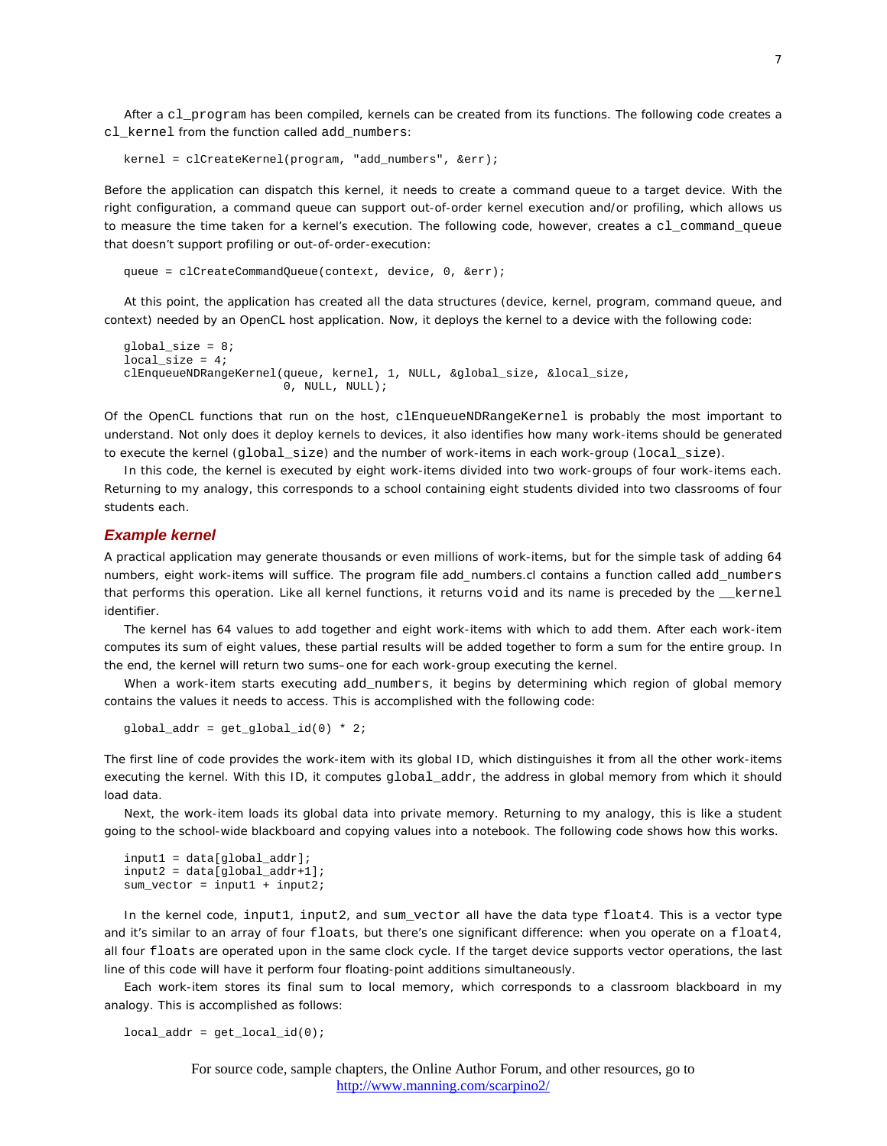After a cl\_program has been compiled, kernels can be created from its functions. The following code creates a cl\_kernel from the function called add\_numbers:

kernel = clCreateKernel(program, "add\_numbers", &err);

Before the application can dispatch this kernel, it needs to create a command queue to a target device. With the right configuration, a command queue can support out-of-order kernel execution and/or profiling, which allows us to measure the time taken for a kernel's execution. The following code, however, creates a cl\_command\_queue that doesn't support profiling or out-of-order-execution:

queue = clCreateCommandQueue(context, device, 0, &err);

At this point, the application has created all the data structures (device, kernel, program, command queue, and context) needed by an OpenCL host application. Now, it deploys the kernel to a device with the following code:

```
global_size = 8;
local size = 4;clEnqueueNDRangeKernel(queue, kernel, 1, NULL, &global_size, &local_size, 
                         0, NULL, NULL);
```
Of the OpenCL functions that run on the host, clEnqueueNDRangeKernel is probably the most important to understand. Not only does it deploy kernels to devices, it also identifies how many work-items should be generated to execute the kernel (global\_size) and the number of work-items in each work-group (local\_size).

In this code, the kernel is executed by eight work-items divided into two work-groups of four work-items each. Returning to my analogy, this corresponds to a school containing eight students divided into two classrooms of four students each.

#### *Example kernel*

A practical application may generate thousands or even millions of work-items, but for the simple task of adding 64 numbers, eight work-items will suffice. The program file add\_numbers.cl contains a function called add\_numbers that performs this operation. Like all kernel functions, it returns void and its name is preceded by the kernel identifier.

The kernel has 64 values to add together and eight work-items with which to add them. After each work-item computes its sum of eight values, these partial results will be added together to form a sum for the entire group. In the end, the kernel will return two sums–one for each work-group executing the kernel.

When a work-item starts executing add\_numbers, it begins by determining which region of global memory contains the values it needs to access. This is accomplished with the following code:

```
global_addr = get_global_id(0) * 2;
```
The first line of code provides the work-item with its global ID, which distinguishes it from all the other work-items executing the kernel. With this ID, it computes global\_addr, the address in global memory from which it should load data.

Next, the work-item loads its global data into private memory. Returning to my analogy, this is like a student going to the school-wide blackboard and copying values into a notebook. The following code shows how this works.

```
input1 = data[global_addr];
input2 = data[global_addr+1];
sum_vector = input1 + input2;
```
In the kernel code, input1, input2, and sum\_vector all have the data type float4. This is a vector type and it's similar to an array of four floats, but there's one significant difference: when you operate on a float4, all four floats are operated upon in the same clock cycle. If the target device supports vector operations, the last line of this code will have it perform four floating-point additions simultaneously.

Each work-item stores its final sum to local memory, which corresponds to a classroom blackboard in my analogy. This is accomplished as follows:

```
local\_addr = get\_local\_id(0);
```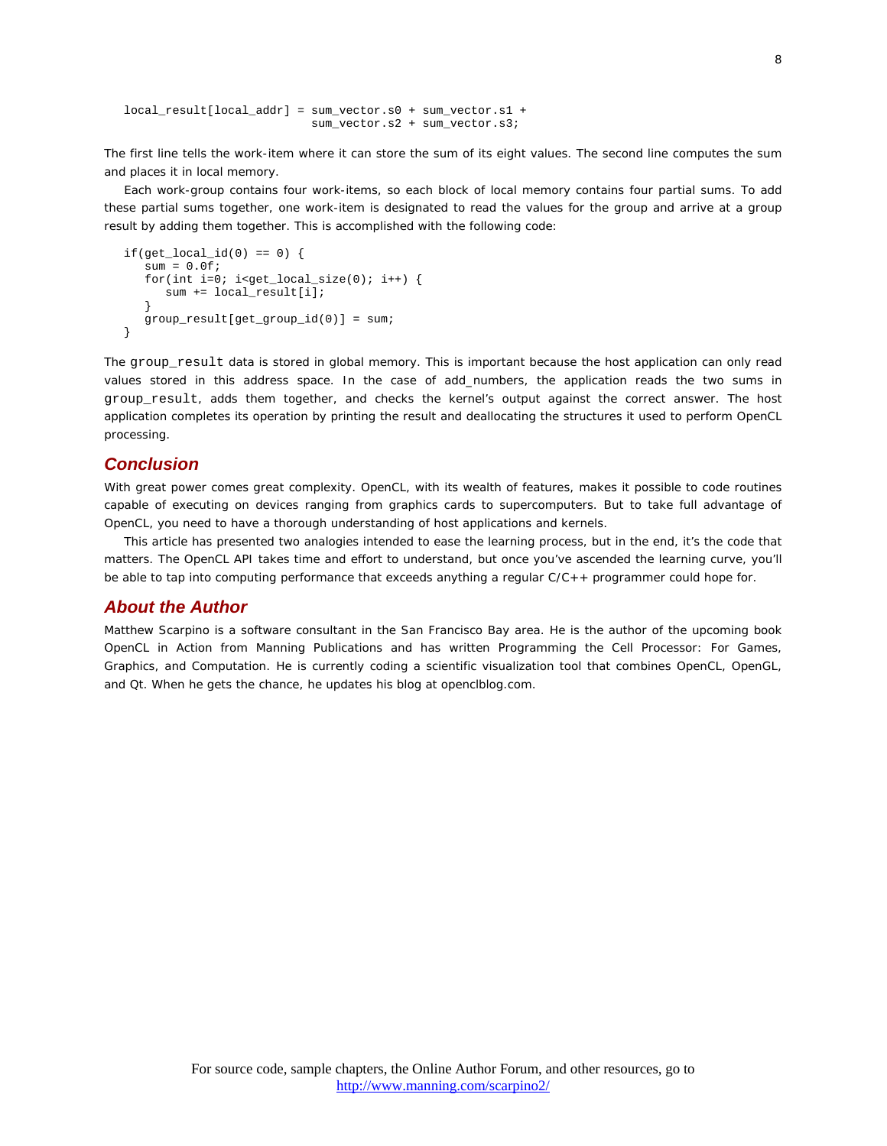```
local_result[local_addr] = sum_vector.s0 + sum_vector.s1 + 
                           sum_vector.s2 + sum_vector.s3;
```
The first line tells the work-item where it can store the sum of its eight values. The second line computes the sum and places it in local memory.

Each work-group contains four work-items, so each block of local memory contains four partial sums. To add these partial sums together, one work-item is designated to read the values for the group and arrive at a group result by adding them together. This is accomplished with the following code:

```
if(get\_local\_id(0) == 0) {
   sum = 0.0f;
   for(int i=0; i<get_local_size(0); i++) {
       sum += local_result[i];
 }
 group_result[get_group_id(0)] = sum;
}
```
The group\_result data is stored in global memory. This is important because the host application can only read values stored in this address space. In the case of add\_numbers, the application reads the two sums in group\_result, adds them together, and checks the kernel's output against the correct answer. The host application completes its operation by printing the result and deallocating the structures it used to perform OpenCL processing.

## *Conclusion*

With great power comes great complexity. OpenCL, with its wealth of features, makes it possible to code routines capable of executing on devices ranging from graphics cards to supercomputers. But to take full advantage of OpenCL, you need to have a thorough understanding of host applications and kernels.

This article has presented two analogies intended to ease the learning process, but in the end, it's the code that matters. The OpenCL API takes time and effort to understand, but once you've ascended the learning curve, you'll be able to tap into computing performance that exceeds anything a regular C/C++ programmer could hope for.

## *About the Author*

Matthew Scarpino is a software consultant in the San Francisco Bay area. He is the author of the upcoming book *OpenCL in Action* from Manning Publications and has written *Programming the Cell Processor: For Games, Graphics, and Computation*. He is currently coding a scientific visualization tool that combines OpenCL, OpenGL, and Qt. When he gets the chance, he updates his blog at openclblog.com.